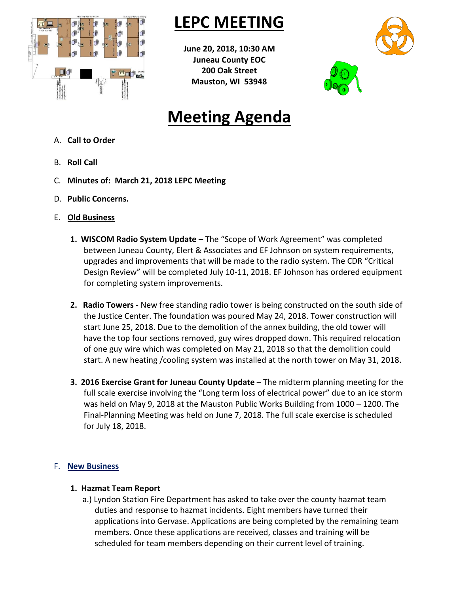

## **LEPC MEETING**

**June 20, 2018, 10:30 AM Juneau County EOC 200 Oak Street Mauston, WI 53948**



# **Meeting Agenda**

- A. **Call to Order**
- B. **Roll Call**
- C. **Minutes of: March 21, 2018 LEPC Meeting**
- D. **Public Concerns.**
- E. **Old Business**
	- **1. WISCOM Radio System Update –** The "Scope of Work Agreement" was completed between Juneau County, Elert & Associates and EF Johnson on system requirements, upgrades and improvements that will be made to the radio system. The CDR "Critical Design Review" will be completed July 10-11, 2018. EF Johnson has ordered equipment for completing system improvements.
	- **2. Radio Towers** New free standing radio tower is being constructed on the south side of the Justice Center. The foundation was poured May 24, 2018. Tower construction will start June 25, 2018. Due to the demolition of the annex building, the old tower will have the top four sections removed, guy wires dropped down. This required relocation of one guy wire which was completed on May 21, 2018 so that the demolition could start. A new heating /cooling system was installed at the north tower on May 31, 2018.
	- **3. 2016 Exercise Grant for Juneau County Update** The midterm planning meeting for the full scale exercise involving the "Long term loss of electrical power" due to an ice storm was held on May 9, 2018 at the Mauston Public Works Building from 1000 – 1200. The Final-Planning Meeting was held on June 7, 2018. The full scale exercise is scheduled for July 18, 2018.

### F. **New Business**

### **1. Hazmat Team Report**

a.) Lyndon Station Fire Department has asked to take over the county hazmat team duties and response to hazmat incidents. Eight members have turned their applications into Gervase. Applications are being completed by the remaining team members. Once these applications are received, classes and training will be scheduled for team members depending on their current level of training.